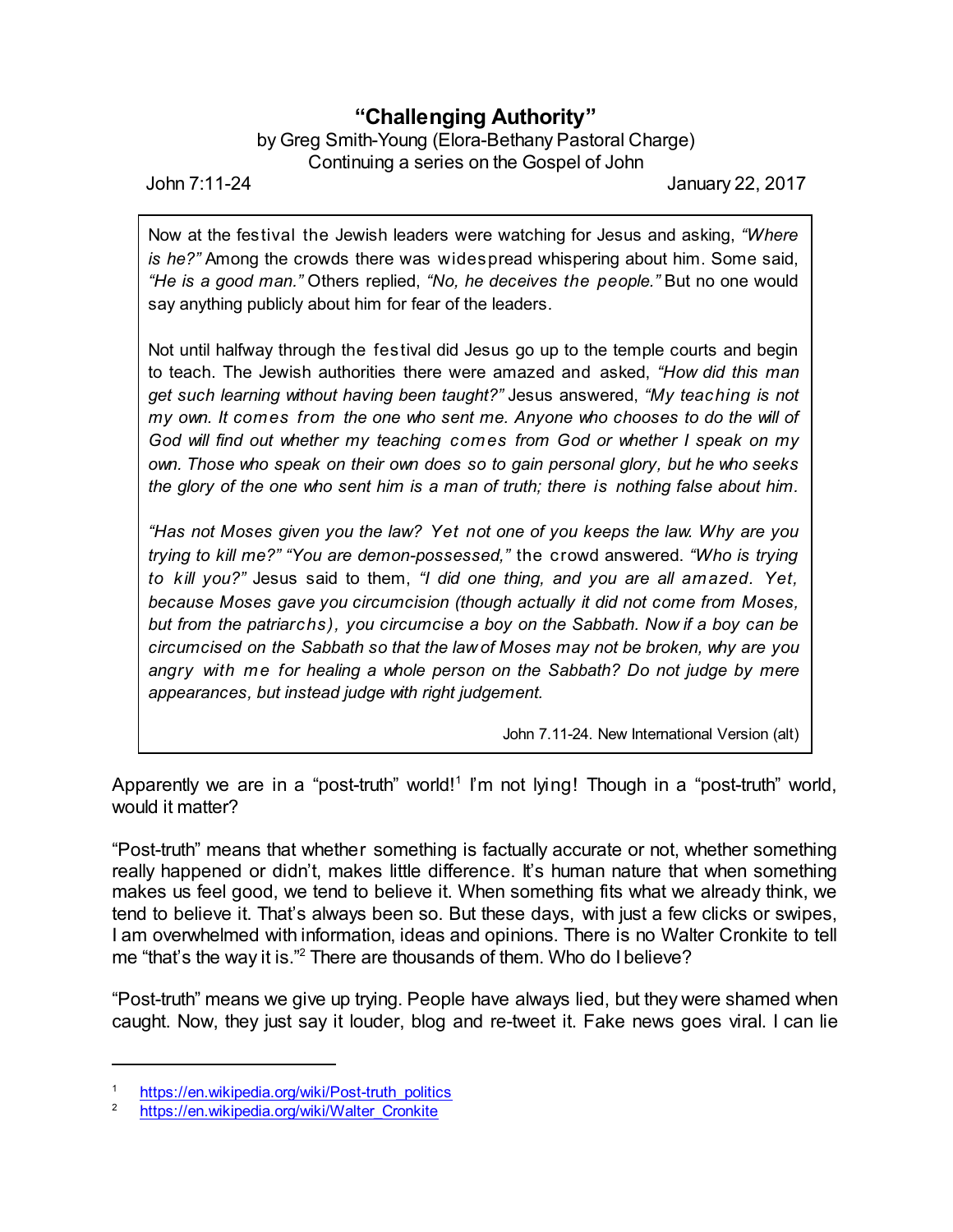## **"Challenging Authority"**

by Greg Smith-Young (Elora-Bethany Pastoral Charge) Continuing a series on the Gospel of John

John 7:11-24 January 22, 2017

Now at the festival the Jewish leaders were watching for Jesus and asking, *"Where is he?"* Among the crowds there was widespread whispering about him. Some said, *"He is a good man."* Others replied, *"No, he deceives the people."* But no one would say anything publicly about him for fear of the leaders.

Not until halfway through the festival did Jesus go up to the temple courts and begin to teach. The Jewish authorities there were amazed and asked, *"How did this man get such learning without having been taught?"* Jesus answered, *"My teaching is not my own. It comes from the one who sent me. Anyone who chooses to do the will of God will find out whether my teaching comes from God or whether I speak on my own. Those who speak on their own does so to gain personal glory, but he who seeks the glory of the one who sent him is a man of truth; there is nothing false about him.*

*"Has not Moses given you the law? Yet not one of you keeps the law. Why are you trying to kill me?" "You are demon-possessed,"* the crowd answered. *"Who is trying to kill you?"* Jesus said to them, *"I did one thing, and you are all amazed. Yet, because Moses gave you circumcision (though actually it did not come from Moses, but from the patriarchs), you circumcise a boy on the Sabbath. Now if a boy can be circumcised on the Sabbath so that the law of Moses may not be broken, why are you angry with me for healing a whole person on the Sabbath? Do not judge by mere appearances, but instead judge with right judgement.*

John 7.11-24. New International Version (alt)

Apparently we are in a "post-truth" world!<sup>1</sup> I'm not lying! Though in a "post-truth" world, would it matter?

"Post-truth" means that whether something is factually accurate or not, whether something really happened or didn't, makes little difference. It's human nature that when something makes us feel good, we tend to believe it. When something fits what we already think, we tend to believe it. That's always been so. But these days, with just a few clicks or swipes, I am overwhelmed with information, ideas and opinions. There is no Walter Cronkite to tell me "that's the way it is."<sup>2</sup> There are thousands of them. Who do I believe?

"Post-truth" means we give up trying. People have always lied, but they were shamed when caught. Now, they just say it louder, blog and re-tweet it. Fake news goes viral. I can lie

<sup>1</sup> [https://en.wikipedia.org/wiki/Post-truth\\_politics](https://en.wikipedia.org/wiki/Post-truth_politics)

[https://en.wikipedia.org/wiki/Walter\\_Cronkite](https://en.wikipedia.org/wiki/Walter_Cronkite)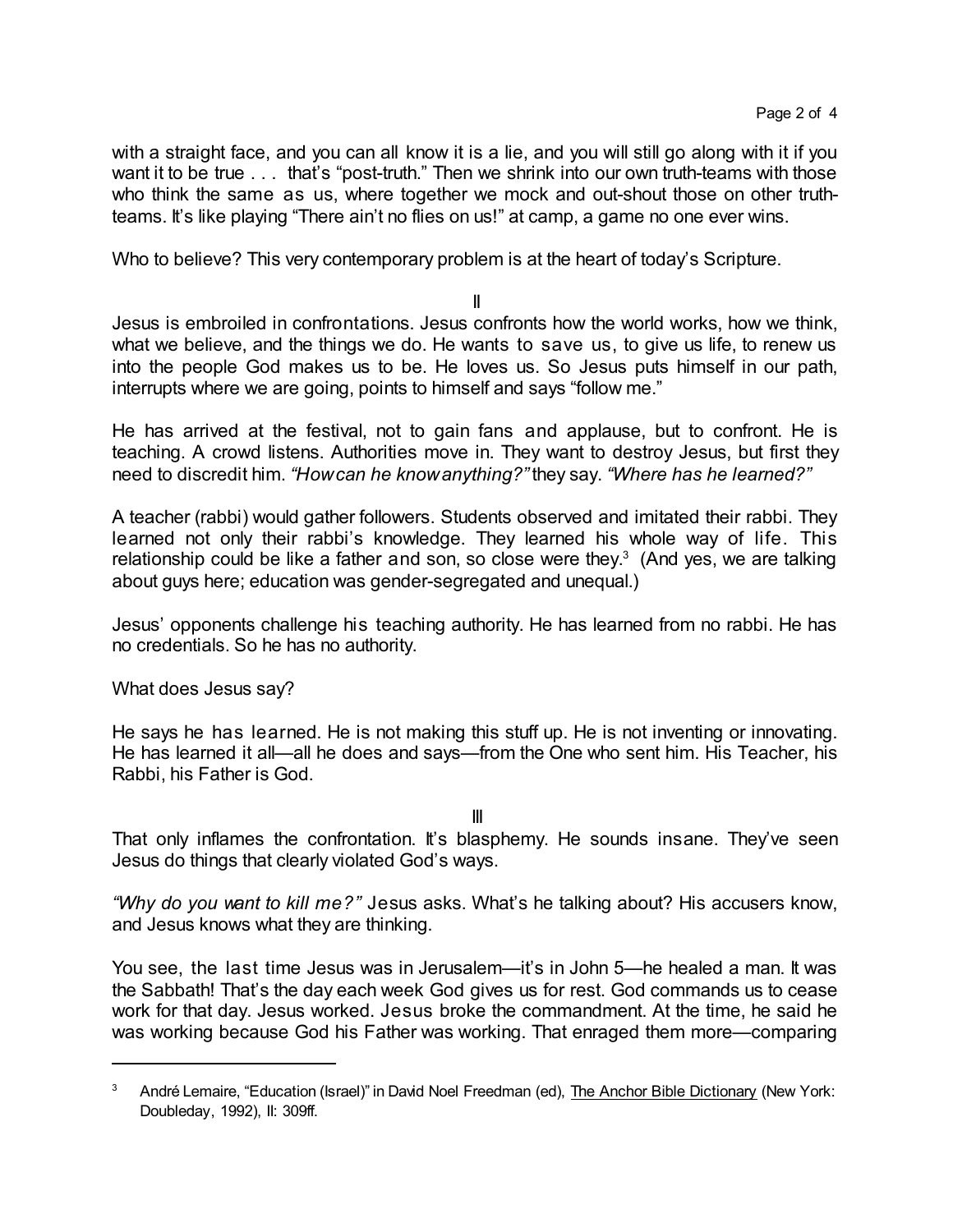with a straight face, and you can all know it is a lie, and you will still go along with it if you want it to be true . . . that's "post-truth." Then we shrink into our own truth-teams with those who think the same as us, where together we mock and out-shout those on other truthteams. It's like playing "There ain't no flies on us!" at camp, a game no one ever wins.

Who to believe? This very contemporary problem is at the heart of today's Scripture.

II

Jesus is embroiled in confrontations. Jesus confronts how the world works, how we think, what we believe, and the things we do. He wants to save us, to give us life, to renew us into the people God makes us to be. He loves us. So Jesus puts himself in our path, interrupts where we are going, points to himself and says "follow me."

He has arrived at the festival, not to gain fans and applause, but to confront. He is teaching. A crowd listens. Authorities move in. They want to destroy Jesus, but first they need to discredit him. *"Howcan he knowanything?"* they say. *"Where has he learned?"*

A teacher (rabbi) would gather followers. Students observed and imitated their rabbi. They learned not only their rabbi's knowledge. They learned his whole way of life. This relationship could be like a father and son, so close were they.<sup>3</sup> (And yes, we are talking about guys here; education was gender-segregated and unequal.)

Jesus' opponents challenge his teaching authority. He has learned from no rabbi. He has no credentials. So he has no authority.

What does Jesus say?

He says he has learned. He is not making this stuff up. He is not inventing or innovating. He has learned it all—all he does and says—from the One who sent him. His Teacher, his Rabbi, his Father is God.

III

That only inflames the confrontation. It's blasphemy. He sounds insane. They've seen Jesus do things that clearly violated God's ways.

*"Why do you want to kill me?"* Jesus asks. What's he talking about? His accusers know, and Jesus knows what they are thinking.

You see, the last time Jesus was in Jerusalem—it's in John 5—he healed a man. It was the Sabbath! That's the day each week God gives us for rest. God commands us to cease work for that day. Jesus worked. Jesus broke the commandment. At the time, he said he was working because God his Father was working. That enraged them more—comparing

<sup>&</sup>lt;sup>3</sup> André Lemaire, "Education (Israel)" in David Noel Freedman (ed), The Anchor Bible Dictionary (New York: Doubleday, 1992), II: 309ff.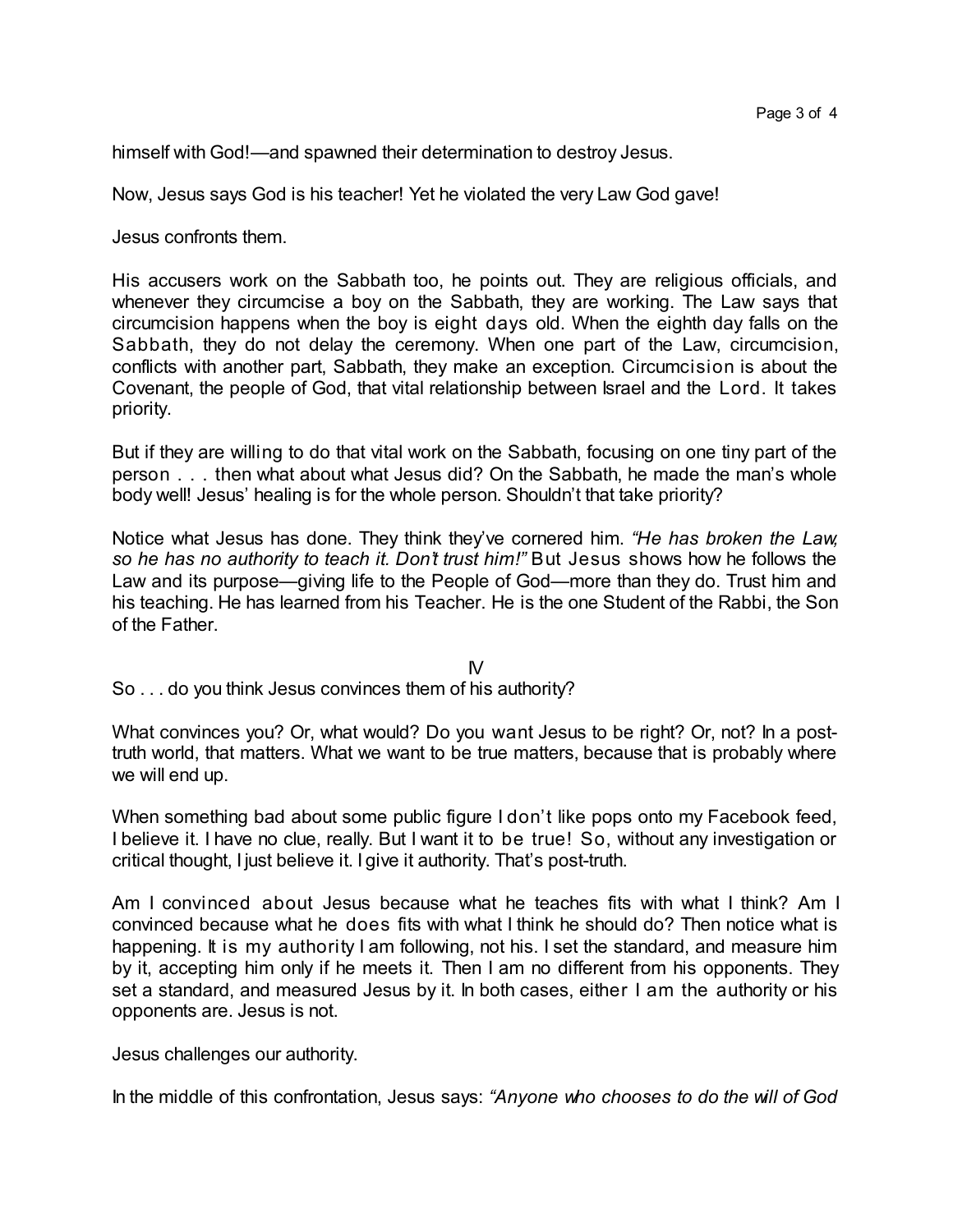himself with God!—and spawned their determination to destroy Jesus.

Now, Jesus says God is his teacher! Yet he violated the very Law God gave!

Jesus confronts them.

His accusers work on the Sabbath too, he points out. They are religious officials, and whenever they circumcise a boy on the Sabbath, they are working. The Law says that circumcision happens when the boy is eight days old. When the eighth day falls on the Sabbath, they do not delay the ceremony. When one part of the Law, circumcision, conflicts with another part, Sabbath, they make an exception. Circumcision is about the Covenant, the people of God, that vital relationship between Israel and the Lord. It takes priority.

But if they are willing to do that vital work on the Sabbath, focusing on one tiny part of the person . . . then what about what Jesus did? On the Sabbath, he made the man's whole body well! Jesus' healing is for the whole person. Shouldn't that take priority?

Notice what Jesus has done. They think they've cornered him. *"He has broken the Law, so he has no authority to teach it. Don't trust him!"* But Jesus shows how he follows the Law and its purpose—giving life to the People of God—more than they do. Trust him and his teaching. He has learned from his Teacher. He is the one Student of the Rabbi, the Son of the Father.

IV

So . . . do you think Jesus convinces them of his authority?

What convinces you? Or, what would? Do you want Jesus to be right? Or, not? In a posttruth world, that matters. What we want to be true matters, because that is probably where we will end up.

When something bad about some public figure I don't like pops onto my Facebook feed, I believe it. I have no clue, really. But I want it to be true! So, without any investigation or critical thought, I just believe it. I give it authority. That's post-truth.

Am I convinced about Jesus because what he teaches fits with what I think? Am I convinced because what he does fits with what I think he should do? Then notice what is happening. It is my authority I am following, not his. I set the standard, and measure him by it, accepting him only if he meets it. Then I am no different from his opponents. They set a standard, and measured Jesus by it. In both cases, either I am the authority or his opponents are. Jesus is not.

Jesus challenges our authority.

In the middle of this confrontation, Jesus says: *"Anyone who chooses to do the will of God*